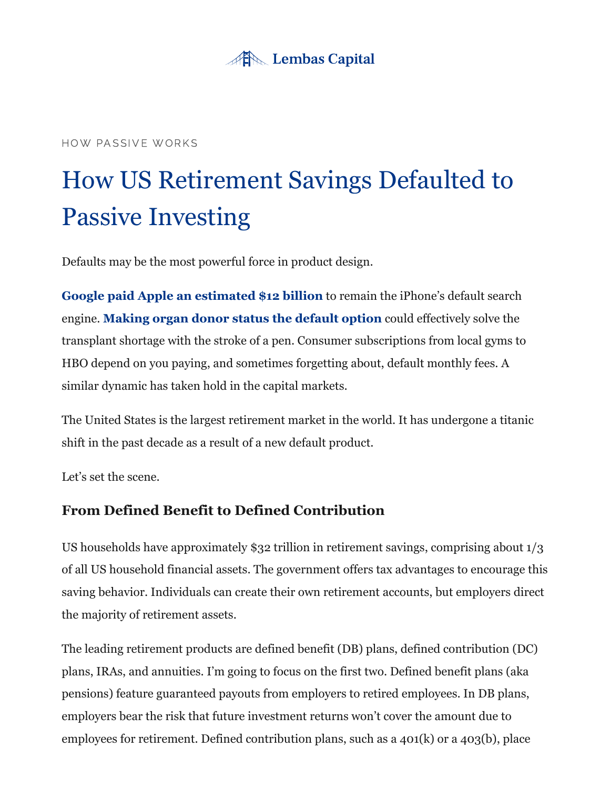

#### HOW PASSIVE WORKS

# How US Retirement Savings Defaulted to Passive Investing

Defaults may be the most powerful force in product design.

**[Google paid Apple an estimated \\$12 billion](https://finance.yahoo.com/news/google-pay-apple-12-billion-155007747.html)** to remain the iPhone's default search engine. **[Making organ donor status the default option](https://jamanetwork.com/journals/jamanetworkopen/fullarticle/2752089)** could effectively solve the transplant shortage with the stroke of a pen. Consumer subscriptions from local gyms to HBO depend on you paying, and sometimes forgetting about, default monthly fees. A similar dynamic has taken hold in the capital markets.

The United States is the largest retirement market in the world. It has undergone a titanic shift in the past decade as a result of a new default product.

Let's set the scene.

# **From Defined Benefit to Defined Contribution**

US households have approximately \$32 trillion in retirement savings, comprising about 1/3 of all US household financial assets. The government offers tax advantages to encourage this saving behavior. Individuals can create their own retirement accounts, but employers direct the majority of retirement assets.

The leading retirement products are defined benefit (DB) plans, defined contribution (DC) plans, IRAs, and annuities. I'm going to focus on the first two. Defined benefit plans (aka pensions) feature guaranteed payouts from employers to retired employees. In DB plans, employers bear the risk that future investment returns won't cover the amount due to employees for retirement. Defined contribution plans, such as a 401(k) or a 403(b), place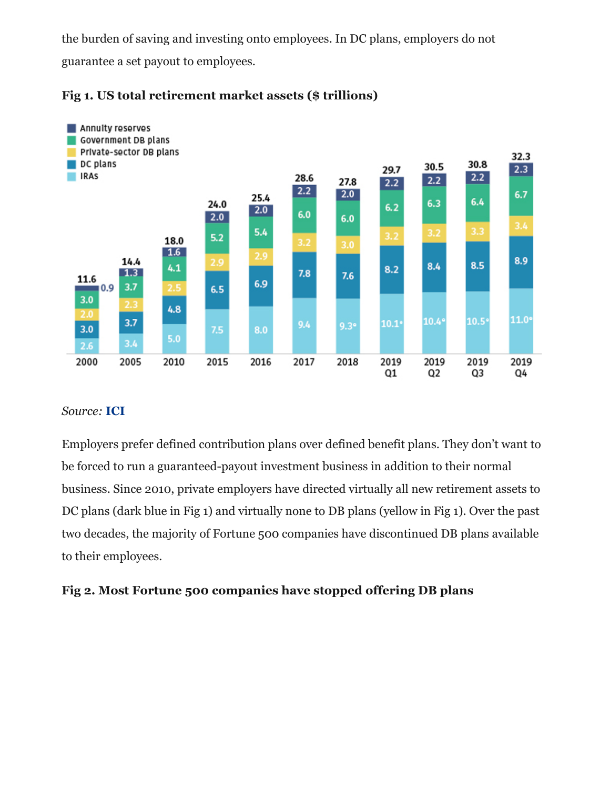the burden of saving and investing onto employees. In DC plans, employers do not guarantee a set payout to employees.





#### *Source:* **[ICI](https://www.ici.org/research/stats/retirement/)**

Employers prefer defined contribution plans over defined benefit plans. They don't want to be forced to run a guaranteed-payout investment business in addition to their normal business. Since 2010, private employers have directed virtually all new retirement assets to DC plans (dark blue in Fig 1) and virtually none to DB plans (yellow in Fig 1). Over the past two decades, the majority of Fortune 500 companies have discontinued DB plans available to their employees.

# **Fig 2. Most Fortune 500 companies have stopped offering DB plans**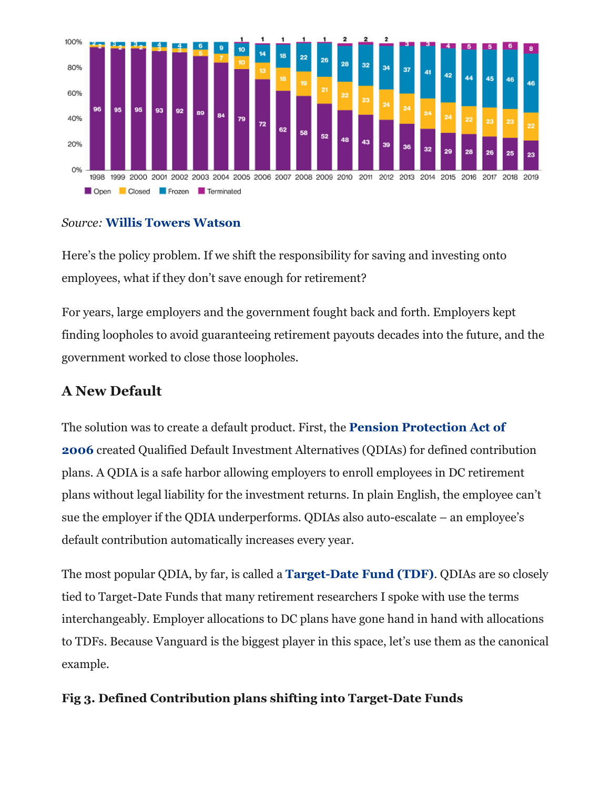

# *Source:* **[Willis Towers Watson](https://www.willistowerswatson.com/en-US/Insights/2020/06/retirement-offerings-in-the-fortune-500-1998-2019)**

Here's the policy problem. If we shift the responsibility for saving and investing onto employees, what if they don't save enough for retirement?

For years, large employers and the government fought back and forth. Employers kept finding loopholes to avoid guaranteeing retirement payouts decades into the future, and the government worked to close those loopholes.

# **A New Default**

The solution was to create a default product. First, the **Pension Protection Act of 2006** [created Qualified Default Investment Alternatives \(QDIAs\) for defined contrib](https://en.wikipedia.org/wiki/Pension_Protection_Act_of_2006)ution plans. A QDIA is a safe harbor allowing employers to enroll employees in DC retirement plans without legal liability for the investment returns. In plain English, the employee can't sue the employer if the QDIA underperforms. QDIAs also auto-escalate – an employee's default contribution automatically increases every year.

The most popular QDIA, by far, is called a **[Target-Date Fund \(TDF\)](https://cri.georgetown.edu/wp-content/uploads/2018/06/WTW71824_WHITE-PAPER_Georgetown-CRI-Target-Date_Jun-18_Final.vs2_626.pdf)**. QDIAs are so closely tied to Target-Date Funds that many retirement researchers I spoke with use the terms interchangeably. Employer allocations to DC plans have gone hand in hand with allocations to TDFs. Because Vanguard is the biggest player in this space, let's use them as the canonical example.

# **Fig 3. Defined Contribution plans shifting into Target-Date Funds**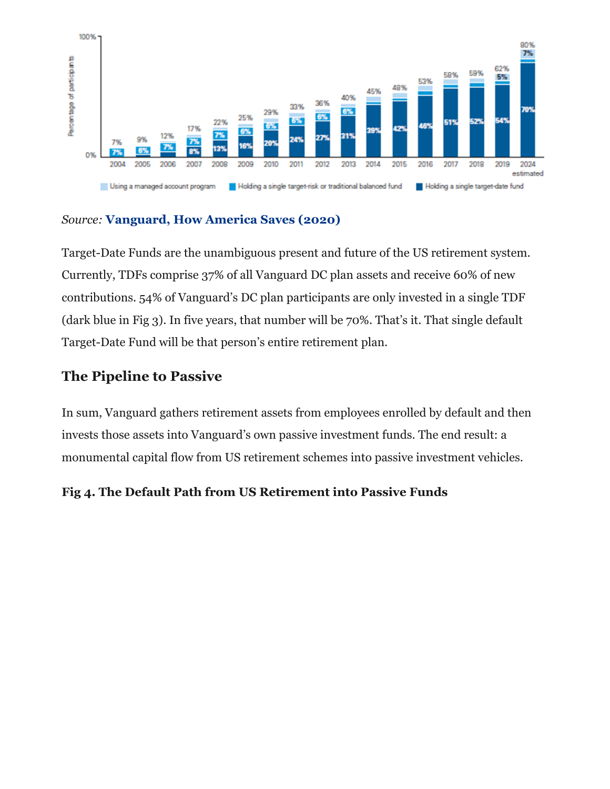

#### *Source:* **[Vanguard, How America Saves \(2020\)](https://institutional.vanguard.com/web/c1/how-america-saves-research/access-insights)**

Target-Date Funds are the unambiguous present and future of the US retirement system. Currently, TDFs comprise 37% of all Vanguard DC plan assets and receive 60% of new contributions. 54% of Vanguard's DC plan participants are only invested in a single TDF (dark blue in Fig 3). In five years, that number will be 70%. That's it. That single default Target-Date Fund will be that person's entire retirement plan.

# **The Pipeline to Passive**

In sum, Vanguard gathers retirement assets from employees enrolled by default and then invests those assets into Vanguard's own passive investment funds. The end result: a monumental capital flow from US retirement schemes into passive investment vehicles.

# **Fig 4. The Default Path from US Retirement into Passive Funds**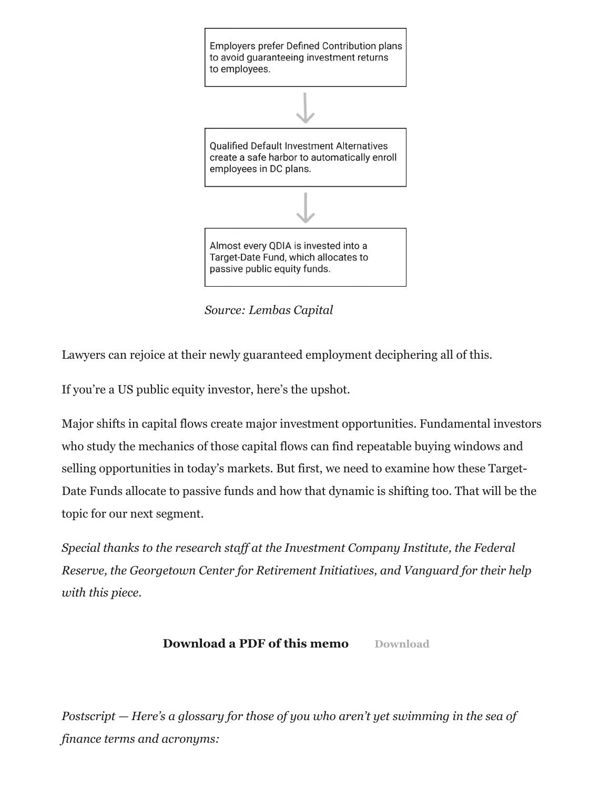

*Source: Lembas Capital*

Lawyers can rejoice at their newly guaranteed employment deciphering all of this.

If you're a US public equity investor, here's the upshot.

Major shifts in capital flows create major investment opportunities. Fundamental investors who study the mechanics of those capital flows can find repeatable buying windows and selling opportunities in today's markets. But first, we need to examine how these Target-Date Funds allocate to passive funds and how that dynamic is shifting too. That will be the topic for our next segment.

*Special thanks to the research staff at the Investment Company Institute, the Federal Reserve, the Georgetown Center for Retirement Initiatives, and Vanguard for their help with this piece.*

# **[Download](https://lembascapital.com/library/wp-content/uploads/2020/08/Blank-pdf.pdf) a PDF of this memo** Download

*Postscript — Here's a glossary for those of you who aren't yet swimming in the sea of finance terms and acronyms:*